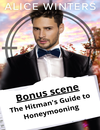## ALICE WINTERS

## Bonus scene The Hitman's Guide to Honeymooning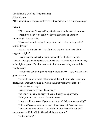The Hitman's Guide to Honeymooning

Alice Winters

\*This short story takes place after The Hitman's Guide 3. I hope you enjoy!

## **Leland**

"Ah… paradise!" I say as I'm jostled around in the packed subway.

"Aren't we rich? Why don't we have a chauffeur or a taxi or something?" Jackson asks.

"Because I want to enjoy the experience of… what do they call it? Simple living."

Jackson scrutinizes me. "You forgot to buy the travel pass like I suggested, right?"

I avoid eye contact as the doors open and I'm the first one out. Jackson is left jostled and pushed around as he tries to figure out which way is the right way out. It's a little sad *and* a little fun watching him until he finally escapes.

"What were you doing for so long in there, babe?" I ask, like this is of great concern.

"It was like a whirlwind of bodies and they all knew what they were doing, and I was just fucking the whole thing up with my confusion."

"Ah, so like an orgy."

His eyebrows knit. "Not like an orgy."

"So you've gone to an orgy?" I ask as I hurry along my way.

"Well, no, but I also know it's not like one."

"How would you know if you've never gone? Why are you so silly?"

"Oh… let's see… because no one's dicks were out," Jackson says.

I raise an eyebrow at him. "Oh, kinky. A little frisky for me, but I suppose we could do a little frisky-frisk here and now."

"In the subway?"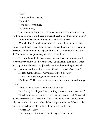"Yes."

"In the middle of the city."

"Correct."

"With people watching?"

"What other way?"

"No other way, I suppose. Let's save that for the last day of our trip, so if we go to prison, we'll have enjoyed at least most of our honeymoon."

"Fine, fine, Husband." I give his arm a little squeeze.

We make it to the main street where I realize I have no idea where we're headed. We'd been at the museum almost all day, and after taking a break, we're planning on getting something to eat for supper. I honestly don't care where we go as long as Jackson is with me.

"Did you know that I love looking at your face and your ass and I love your personality and I love the way you talk and I even love it when you hog all the blankets. This just tells me there is something extremely wrong with me and I probably have what's called 'traveler's disease."

Jackson bumps into me. "Loving me is not a disease."

"There's only one thing that can cure the disease."

"And that is?" He seems a bit concerned for some weird and strange reason.

"Action! Car chases! Guns! Explosions! Sex!"

He holds up five fingers. "Aw, you forgot how to count. How cute."

"Shush your sassy, sexy lips. I can count so fucking well," I say as I glance across the street to see if the light is changing when I notice a man slip past another. As he steps by, his hand slips into the man's back pocket and I watch as he pulls the wallet out and hurries on his way.

"Pickpocket!" I say.

"Oh, dear god. Didn't we do this in Vegas?" Jackson asks.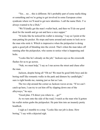"Yes… no… this is different. He's probably part of some mafia thing or something and we're going to get involved in some European crime syndicate where we'll need to get new identities. I call the name Dick. I've always wanted to be a Dick."

"We'll kindly get the man's wallet back, and then we'll do our good deed for the month and go out and have a nice supper."

"It looks like he noticed his wallet is missing," I say as I point at the man patting his pocket. He stops and turns around and seems to lock on to the man who stole it. Which is impressive when the pickpocket is doing quite a good job of blending into the crowd. That's when the man takes off running after the pickpocket, who seems to notice what is happening and bolts.

"Looks like he's already on the job," Jackson says as the crosswalk flashes for us to go across.

"Nah, we must help," I say as I run across the street and chase after the man.

Jackson, despite being all "Oh no! We must be good little boys and do boring stuff like romantic walks in the park and dinners by candlelight," sure is right beside me, running just as fast as I am.

The two slip around the corner as Jackson waves at me. "If we can't catch up here, I can try to cut him off by slipping down one of the alleyways," he says.

"Good plan. I'll direct you where to… go?"

As we turn onto the side of the road, I watch as the man who'd gotten his wallet stolen grabs the pickpocket. He puts him into an insanely pretty headlock.

I sigh as I stumble to a stop. "Looks like our job is done. How boring," I say with a dejected sigh.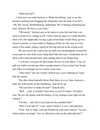"What the hell?"

 I look up to see what Jackson is "What the helling" only to see the business-looking man dragging the pickpocket into the back of an SUV. "Oh. My. Sweet. Motherfucking. Hallelujah. We're busting something big here, Jackson. We have to save him."

"Obviously," Jackson says as he starts to cross the road, but a car turns in front of us, cutting us off. I wish I had my guns so I could threaten them a bit, but supposedly waving a gun around here would likely get me tossed in prison, so I just settle on flipping off the car who was, in every sense of the matter, doing a good job driving and not in the wrong at all.

We race across the road as the car pulls out and disappears around the corner just as some kids come riding their bike this way. I clothesline one of them with a hand around their neck, pulling them to an abrupt stop.

"I will give you guys all this money for two of your bikes," I say as I pull my wallet out and pass them enough money to buy at least four brandnew bikes in exchange for two clearly worn ones.

"Take mine!" the one I nearly choked says, eyes widening as I pass him the money.

The other three basically throw their bikes at us as I pass Jackson a pink one with tassels on the handlebars. And off we go.

"Did you have to choke the kid?" Jackson asks.

"Well… yeah. It wouldn't have been as cool if I hadn't. He didn't care. He saw the money and all memory of my chokage went right out the window."

"Uh-huh… and why'd you hand me the smallest bike?"

"Why'd you take it?" I ask, which I think is a very valid question.

"Fuck. You're right. I just got blinded by your suave moves," he says, which makes me laugh. "Are we allowed to ride on the sidewalk here?"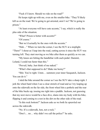"Fuck if I know. Should we ride on the road?"

He keeps right up with me, even on the smaller bike. "They'll likely kill us on the road. We're going to get arrested, aren't we? We're going to prison."

"At least everyone will have cute accents," I say, which is really the plus side of the situation.

"What? Prison is better with accents?"

"Of course."

"But we'd actually be the ones with the accents."

"Huh…" When we turn the corner, I see the SUV at a stoplight. "There!" I shout as I leap into the road, cutting across it since the SUV was turning left. They start moving as we bike after them as quickly as we can.

"My knees are hitting the handlebar with each pedal. Dammit, Leland, I could run faster than this."

"Prevail, baby. Just think of me naked."

"What's that supposed to do? Make me horny?"

"Shit. You're right. Umm… summon your inner Sasquatch, Jackson. You can do it."

I skid the bike around the corner as I see the SUV take a sharp right. I jerk the wheel hard when I see a clear stretch of road and as I try leaping up onto the sidewalk on the far side, the front wheel hits a pothole and the rear of the bike bucks up, tossing me right into a puddle. Jackson, not guessing that my next move would be a face dive, slams into my body with his bike, flipping it and coming to a rest in the dirt on the other side of the road.

"Is this rock bottom?" Jackson asks as we both lie sprawled out across the sidewalk.

"No. It's a sidewalk, hon, not a rock."

"Don't… no… why didn't we call the police?" he asks.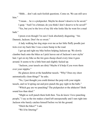"Shhh… don't ask such foolish questions. Come on. We can still save him."

"I mean… he *is* a pickpocket. Maybe he doesn't deserve to be saved."

I gasp. "And I'm a hitman; do you think I don't deserve to be saved?"

"Yes, but you're the love of my life who looks like he went for a mud bath."

I preen even though I'm sure I look absolutely disgusting. "Aw. Dammit, Jackson. Don't be so sweet."

A lady walking her dog steps over me as her little fluffy poodle just trots over my back like I was a mere bump in the road.

I get up and right my bike before helping Jackson up. We slowly clamber back onto the bikes as I pick leaves out of Jackson's new stylin' hair. I get on my bike as the tire goes *thump-thunk* every time it goes around. It seems to be a little bent and slightly fucked up.

"Jackson, your tassels are dirty! Maybe it'd help if you wore them over your nipples."

He glances down at the handlebar tassels. "Why? Does my chest automatically clean things?" he asks.

"No, I just thought you could distract the perp with your nipple tassels, and we'd spring out and pow-punch the guy right in the balls."

"Which guy are we punching? The pickpocket or the abductor? Both sound less than ideal."

"Might as well punch them both then. You do know I love punching people," I say as the tire makes a hard left unexpectedly and I ram right into Jackson who barely catches himself before we hit the ground.

"Ditch the bikes?" I ask.

"We'd be littering!"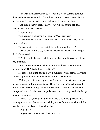"Just lean them somewhere so it *looks* like we're coming back for them and then we never will. It's not littering if you make it look like it's not littering," I explain as I park my bike next to someone else's.

"Solid logic there," Jackson says. "Are we still saving the day? Maybe we should call the cops."

"Cops, shmops."

"Did you get the license plate number?" Jackson asks.

"I need no license plate. I can identify evil from miles away," I say as I start walking.

"Is that what you're going to tell the police when they ask?"

I glance over at my sassy husband. "Husband." Gosh, I'll never get tired of that word.

"What?" He looks confused, telling me that I might have forgotten to pay attention.

"Sorry, I just got distracted by your husbandness. What we were talking about? Oh! Right there's the SUV!"

Jackson looks at the parked SUV in surprise. "Well, damn. They just stopped right in the middle of an abduction for… some food?"

We hurry over to it and I press my face against the windows and peer inside, looking for the abducted man. There's no one in the vehicle, so I turn to the closest building, which is a restaurant. I look at Jackson who shrugs and heads for the door. He pulls it open and we step inside the fancylooking restaurant.

"There," I say, recognizing the man who'd been pickpocketed and rushing over to the table where he's sitting across from a man who weirdly has the same body type as the pickpocket.

"Huh," I say.

"Do you need something?" Abductor asks.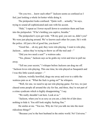"Do you two… know each other?" Jackson seems as confused as I feel, just looking a whole lot hotter while doing it.

The pickpocket looks confused. "Quite well… actually," he says, trying to sound all sophisticated and cute with his accent.

"Huh," I repeat as I lower myself down to scrutinize them and lean into the pickpocket. "If he's holding you captive, breathe."

The pickpocket's eyes get wide. "Oh my god, you saw us, didn't you? We were just playing around. We've known each other for years. He's with the police. All just a bit of good fun, you know?"

"Good fun… oh my god, they were role-playing. I want to role-play, Jackson… unless they're trying to throw us off the trail and—"

"Did you two need a seat?" a waitress asks.

"Yes, please," Jackson says as he grabs my wrist and tries to pull me away.

"Tell me your secrets," I whisper before Jackson can drag me off. "Jackson loves role-playing. This one time, he role-played as Sasquatch and I was this little scared camper—"

Jackson, weirdly horrified, drags me away and over to a table the waitress puts us at. "What the fuck is going on?" he whispers.

"Well, for one, we need to up our role-playing game. For two, we just chased some people all around the city for fun, and three, they're not part of a crime syndicate which is highly disappointing," I say.

"We really shouldn't eat here. Look at us."

"Jackson, when you're as sexy as you are, a little bit of dirt does nothing to hide it. You still look mighty fucking fine."

He smiles at me. "You too. Why do I let you talk me into the most ridiculous things?"

"Because you're the best husband in the entire world. No! Universe."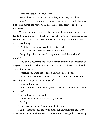"There are husbands outside Earth?"

"Yes, and we don't want them to probe you, so they must know you're mine," I say as the waitress returns. She's either a pro at that smile or didn't hear me talking about aliens probing Jackson because she doesn't miss a beat.

When we're done eating, we start our walk back toward the hotel. We decide it's nice enough we'll just walk instead of getting on transit since the last orgy-like dismount left Jackson frazzled. The city is still bright with life as we pass through it.

"What do you think we need to do next?" I ask.

"With?" Jackson says as he turns to look at me.

"Everything. Like… where do we go from here? Serial killers? Mafia?"

"Like are we becoming the serial killers and mafia in this instance or are you asking if that's who we should hunt down?" Jackson asks, like this is a legitimate question.

"Whatever you want, babe. That's how much I love you."

"Okay. If it's what I want, then I'd prefer to not become a bad guy. I like being the good guys… good*ish* guys."

"Goodish. I like that."

"And I don't like you in danger, so I say we do simple things. Finding lost pets—"

"Only if I can keep them all."

"You have two dogs. What else do you want?"

"Ten dogs."

"Lord save me, no. We're not doing that again."

I grin at the memories and try to block out how annoying they were.

When we reach the hotel, we head up to our room. After getting cleaned up,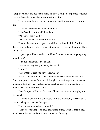I drop down onto the bed that's made up of two single beds pushed together. Jackson flops down beside me and I roll into him.

"I have something so motherfucking special for tomorrow," I warn him.

"I am concerned and excited all at once."

"That's called excitrned," I explain.

"Ah, yes. That is legit."

"But you have to be naked for all of it."

That really makes his expression shift to excitrned. "I don't think that's going to happen unless we're not planning on leaving the room. Then I'm all in."

"I guess you'll have to find out. Now, Sasquatch, what are you going to do to me?"

"I'm not Sasquatch, I'm Jackson."

"My, what hairy feet you have, Sasquatch."

"Nope."

"My, what big ears you have, Sasquatch."

Jackson moves a bit and then I feel my bed start sliding across the floor as he pushes away from me. "I thought it was strange when we came in and our bed was two singles pushed together but I now understand it! I love it! We should do this at home."

"No! Sasquatch! Please! Save me! Plunder me with your mighty rod! Sasquatch!"

"I almost wonder if my bed would fit in the bathroom," he says as he keeps pushing our beds farther apart.

"Our honeymoon is being ruined!"

"That's devastating!" he says as he grins at me. "Fine. Come to me, love." He holds his hand out to me, but he's so far away.